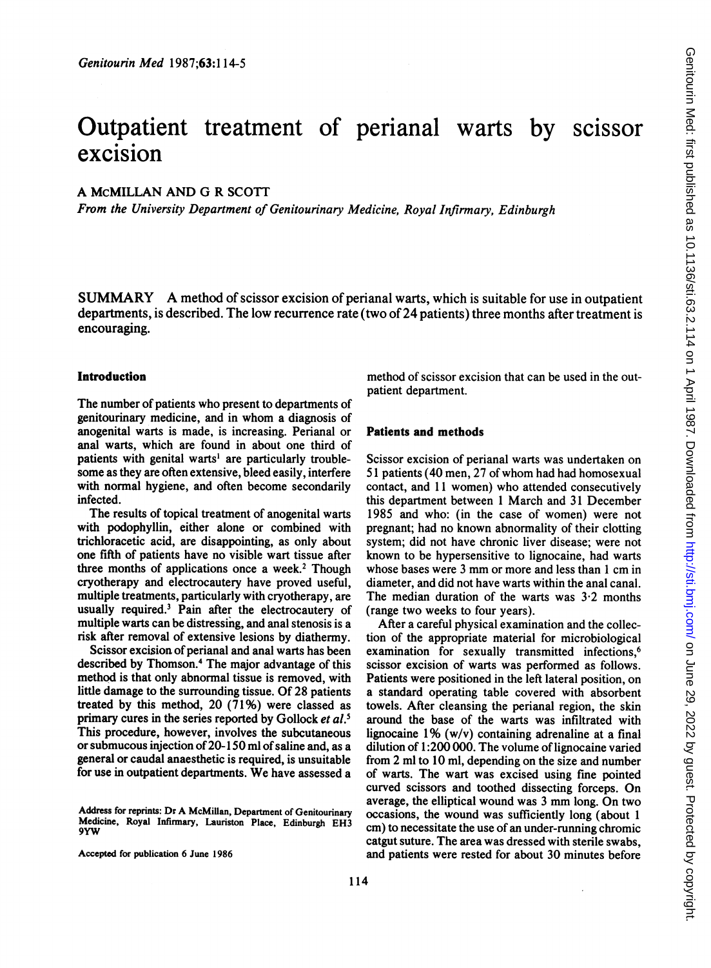# Outpatient treatment of perianal warts by scissor excision

# A McMILLAN AND G R SCOTT

From the University Department of Genitourinary Medicine, Royal Infirmary, Edinburgh

SUMMARY A method of scissor excision of perianal warts, which is suitable for use in outpatient departments, is described. The low recurrence rate (two of 24 patients) three months after treatment is encouraging.

#### Introduction

The number of patients who present to departments of genitourinary medicine, and in whom a diagnosis of anogenital warts is made, is increasing. Perianal or anal warts, which are found in about one third of patients with genital warts' are particularly troublesome as they are often extensive, bleed easily, interfere with normal hygiene, and often become secondarily infected.

The results of topical treatment of anogenital warts with podophyllin, either alone or combined with trichloracetic acid, are disappointing, as only about one fifth of patients have no visible wart tissue after three months of applications once a week.<sup>2</sup> Though cryotherapy and electrocautery have proved useful, multiple treatments, particularly with cryotherapy, are usually required.3 Pain after the electrocautery of multiple warts can be distressing, and anal stenosis is a risk after removal of extensive lesions by diathermy.

Scissor excision of perianal and anal warts has been described by Thomson.4 The major advantage of this method is that only abnormal tissue is removed, with little damage to the surrounding tissue. Of 28 patients treated by this method,  $20(71\%)$  were classed as primary cures in the series reported by Gollock et al.<sup>5</sup> This procedure, however, involves the subcutaneous or submucous injection of 20-150 ml of saline and, as a general or caudal anaesthetic is required, is unsuitable for use in outpatient departments. We have assessed <sup>a</sup>

Address for reprints: Dr A McMillan, Department of Genitourinary Medicine, Royal Infirmary, Lauriston Place, Edinburgh EH3 9YW

Accepted for publication 6 June 1986

method of scissor excision that can be used in the outpatient department.

#### Patients and methods

Scissor excision of perianal warts was undertaken on <sup>51</sup> patients (40 men, <sup>27</sup> of whom had had homosexual contact, and 11 women) who attended consecutively this department between <sup>1</sup> March and 31 December 1985 and who: (in the case of women) were not pregnant; had no known abnormality of their clotting system; did not have chronic liver disease; were not known to be hypersensitive to lignocaine, had warts whose bases were <sup>3</sup> mm or more and less than <sup>1</sup> cm in diameter, and did not have warts within the anal canal. The median duration of the warts was  $3.2$  months (range two weeks to four years).

After a careful physical examination and the collection of the appropriate material for microbiological examination for sexually transmitted infections,<sup>6</sup> scissor excision of warts was performed as follows. Patients were positioned in the left lateral position, on a standard operating table covered with absorbent towels. After cleansing the perianal region, the skin around the base of the warts was infiltrated with lignocaine 1% (w/v) containing adrenaline at <sup>a</sup> final dilution of 1:200 000. The volume of lignocaine varied from 2 ml to 10 ml, depending on the size and number of warts. The wart was excised using fine pointed curved scissors and toothed dissecting forceps. On average, the elliptical wound was <sup>3</sup> mm long. On two occasions, the wound was sufficiently long (about <sup>1</sup> cm) to necessitate the use of an under-running chromic catgut suture. The area was dressed with sterile swabs, and patients were rested for about 30 minutes before